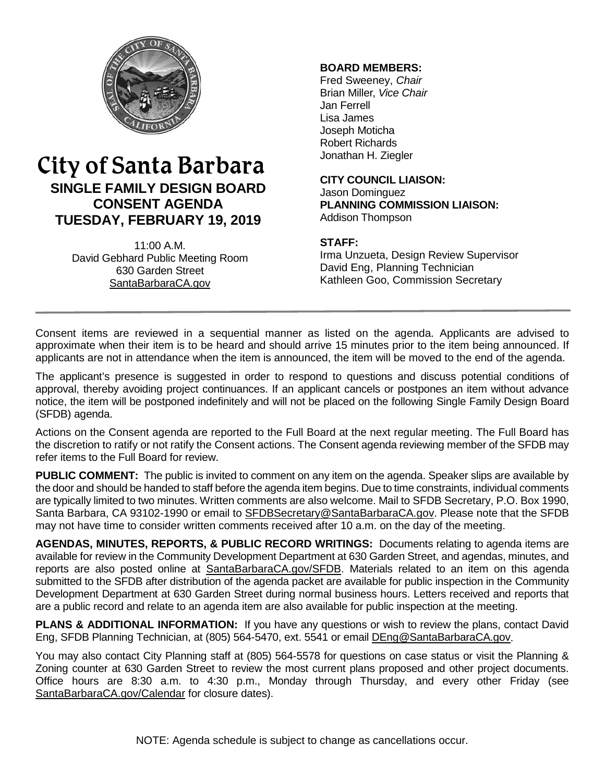

## City of Santa Barbara **SINGLE FAMILY DESIGN BOARD CONSENT AGENDA TUESDAY, FEBRUARY 19, 2019**

11:00 A.M. David Gebhard Public Meeting Room 630 Garden Street [SantaBarbaraCA.gov](http://www.santabarbaraca.gov/)

### **BOARD MEMBERS:**

Fred Sweeney, *Chair* Brian Miller, *Vice Chair* Jan Ferrell Lisa James Joseph Moticha Robert Richards Jonathan H. Ziegler

**CITY COUNCIL LIAISON:** Jason Dominguez **PLANNING COMMISSION LIAISON:** Addison Thompson

### **STAFF:**

Irma Unzueta, Design Review Supervisor David Eng, Planning Technician Kathleen Goo, Commission Secretary

Consent items are reviewed in a sequential manner as listed on the agenda. Applicants are advised to approximate when their item is to be heard and should arrive 15 minutes prior to the item being announced. If applicants are not in attendance when the item is announced, the item will be moved to the end of the agenda.

The applicant's presence is suggested in order to respond to questions and discuss potential conditions of approval, thereby avoiding project continuances. If an applicant cancels or postpones an item without advance notice, the item will be postponed indefinitely and will not be placed on the following Single Family Design Board (SFDB) agenda.

Actions on the Consent agenda are reported to the Full Board at the next regular meeting. The Full Board has the discretion to ratify or not ratify the Consent actions. The Consent agenda reviewing member of the SFDB may refer items to the Full Board for review.

**PUBLIC COMMENT:** The public is invited to comment on any item on the agenda. Speaker slips are available by the door and should be handed to staff before the agenda item begins. Due to time constraints, individual comments are typically limited to two minutes. Written comments are also welcome. Mail to SFDB Secretary, P.O. Box 1990, Santa Barbara, CA 93102-1990 or email to [SFDBSecretary@SantaBarbaraCA.gov.](mailto:SFDBSecretary@SantaBarbaraCA.gov) Please note that the SFDB may not have time to consider written comments received after 10 a.m. on the day of the meeting.

**AGENDAS, MINUTES, REPORTS, & PUBLIC RECORD WRITINGS:** Documents relating to agenda items are available for review in the Community Development Department at 630 Garden Street, and agendas, minutes, and reports are also posted online at [SantaBarbaraCA.gov/SFDB.](http://www.santabarbaraca.gov/gov/brdcomm/nz/sfdb/agendas.asp) Materials related to an item on this agenda submitted to the SFDB after distribution of the agenda packet are available for public inspection in the Community Development Department at 630 Garden Street during normal business hours. Letters received and reports that are a public record and relate to an agenda item are also available for public inspection at the meeting.

**PLANS & ADDITIONAL INFORMATION:** If you have any questions or wish to review the plans, contact David Eng, SFDB Planning Technician, at (805) 564-5470, ext. 5541 or email [DEng@SantaBarbaraCA.gov.](mailto:DEng@SantaBarbaraCA.gov)

You may also contact City Planning staff at (805) 564-5578 for questions on case status or visit the Planning & Zoning counter at 630 Garden Street to review the most current plans proposed and other project documents. Office hours are 8:30 a.m. to 4:30 p.m., Monday through Thursday, and every other Friday (see [SantaBarbaraCA.gov/Calendar](http://www.santabarbaraca.gov/cals/default.asp) for closure dates).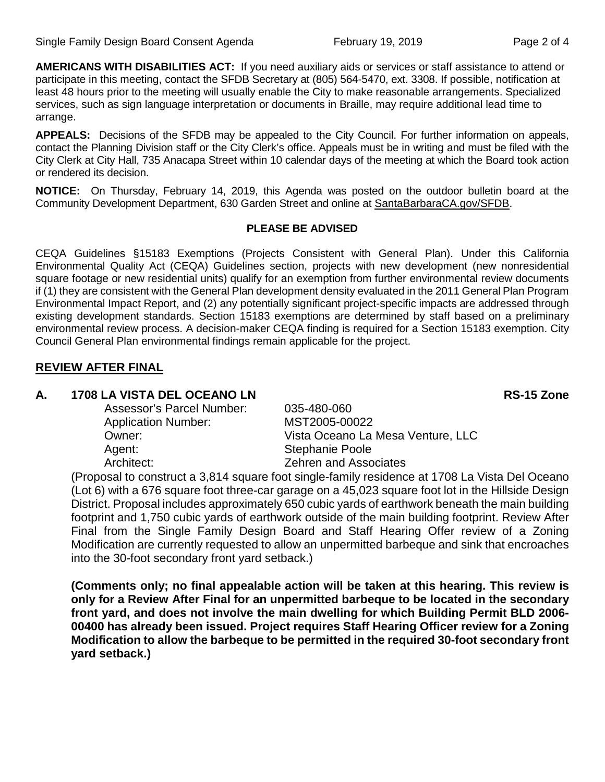**AMERICANS WITH DISABILITIES ACT:** If you need auxiliary aids or services or staff assistance to attend or participate in this meeting, contact the SFDB Secretary at (805) 564-5470, ext. 3308. If possible, notification at least 48 hours prior to the meeting will usually enable the City to make reasonable arrangements. Specialized services, such as sign language interpretation or documents in Braille, may require additional lead time to arrange.

**APPEALS:** Decisions of the SFDB may be appealed to the City Council. For further information on appeals, contact the Planning Division staff or the City Clerk's office. Appeals must be in writing and must be filed with the City Clerk at City Hall, 735 Anacapa Street within 10 calendar days of the meeting at which the Board took action or rendered its decision.

**NOTICE:** On Thursday, February 14, 2019, this Agenda was posted on the outdoor bulletin board at the Community Development Department, 630 Garden Street and online at [SantaBarbaraCA.gov/SFDB.](http://www.santabarbaraca.gov/gov/brdcomm/nz/sfdb/agendas.asp)

### **PLEASE BE ADVISED**

CEQA Guidelines §15183 Exemptions (Projects Consistent with General Plan). Under this California Environmental Quality Act (CEQA) Guidelines section, projects with new development (new nonresidential square footage or new residential units) qualify for an exemption from further environmental review documents if (1) they are consistent with the General Plan development density evaluated in the 2011 General Plan Program Environmental Impact Report, and (2) any potentially significant project-specific impacts are addressed through existing development standards. Section 15183 exemptions are determined by staff based on a preliminary environmental review process. A decision-maker CEQA finding is required for a Section 15183 exemption. City Council General Plan environmental findings remain applicable for the project.

### **REVIEW AFTER FINAL**

### **A. 1708 LA VISTA DEL OCEANO LN RS-15 Zone**

Assessor's Parcel Number: 035-480-060 Application Number: MST2005-00022 Owner: Vista Oceano La Mesa Venture, LLC Agent: Stephanie Poole Architect: Zehren and Associates

(Proposal to construct a 3,814 square foot single-family residence at 1708 La Vista Del Oceano (Lot 6) with a 676 square foot three-car garage on a 45,023 square foot lot in the Hillside Design District. Proposal includes approximately 650 cubic yards of earthwork beneath the main building footprint and 1,750 cubic yards of earthwork outside of the main building footprint. Review After Final from the Single Family Design Board and Staff Hearing Offer review of a Zoning Modification are currently requested to allow an unpermitted barbeque and sink that encroaches into the 30-foot secondary front yard setback.)

**(Comments only; no final appealable action will be taken at this hearing. This review is only for a Review After Final for an unpermitted barbeque to be located in the secondary front yard, and does not involve the main dwelling for which Building Permit BLD 2006- 00400 has already been issued. Project requires Staff Hearing Officer review for a Zoning Modification to allow the barbeque to be permitted in the required 30-foot secondary front yard setback.)**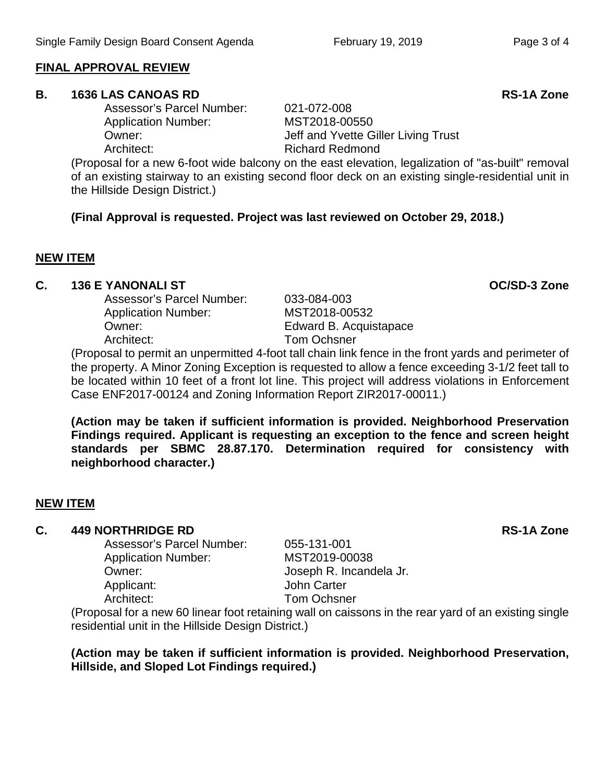### **FINAL APPROVAL REVIEW**

### **B. 1636 LAS CANOAS RD RS-1A Zone**

Assessor's Parcel Number: 021-072-008 Application Number: MST2018-00550 Architect: Richard Redmond

(Proposal for a new 6-foot wide balcony on the east elevation, legalization of "as-built" removal of an existing stairway to an existing second floor deck on an existing single-residential unit in the Hillside Design District.)

**(Final Approval is requested. Project was last reviewed on October 29, 2018.)**

### **NEW ITEM**

# **C. 136 E YANONALI ST OC/SD-3 Zone**

Assessor's Parcel Number: Application Number: MST2018-00532 Owner: Edward B. Acquistapace Architect: Tom Ochsner

(Proposal to permit an unpermitted 4-foot tall chain link fence in the front yards and perimeter of the property. A Minor Zoning Exception is requested to allow a fence exceeding 3-1/2 feet tall to be located within 10 feet of a front lot line. This project will address violations in Enforcement Case ENF2017-00124 and Zoning Information Report ZIR2017-00011.)

**(Action may be taken if sufficient information is provided. Neighborhood Preservation Findings required. Applicant is requesting an exception to the fence and screen height standards per SBMC 28.87.170. Determination required for consistency with neighborhood character.)**

### **NEW ITEM**

## **C. 449 NORTHRIDGE RD RS-1A Zone**

Assessor's Parcel Number: Application Number: MST2019-00038 Owner: Joseph R. Incandela Jr. Applicant: John Carter Architect: Tom Ochsner

(Proposal for a new 60 linear foot retaining wall on caissons in the rear yard of an existing single residential unit in the Hillside Design District.)

**(Action may be taken if sufficient information is provided. Neighborhood Preservation, Hillside, and Sloped Lot Findings required.)**

Owner: Communist Communist Communist Communist Jeff and Yvette Giller Living Trust